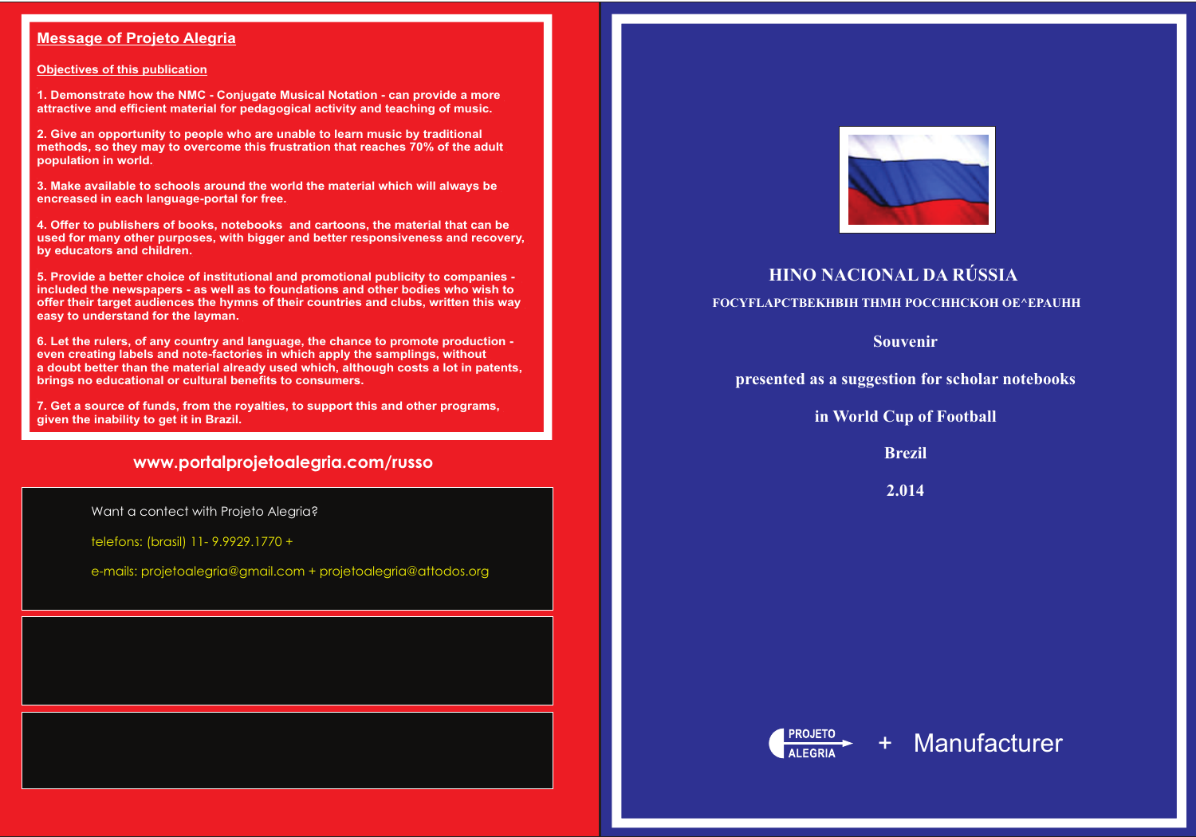### **Message of Projeto Alegria**

### **Objectives of this publication**

**1. Demonstrate how the NMC - Conjugate Musical Notation - can provide a more attractive and efficient material for pedagogical activity and teaching of music.**

**2. Give an opportunity to people who are unable to learn music by traditional methods, so they may to overcome this frustration that reaches 70% of the adult population in world.**

**3. Make available to schools around the world the material which will always be encreased in each language-portal for free.**

**4. Offer to publishers of books, notebooks and cartoons, the material that can be used for many other purposes, with bigger and better responsiveness and recovery, by educators and children.**

**5. Provide a better choice of institutional and promotional publicity to companies included the newspapers - as well as to foundations and other bodies who wish to offer their target audiences the hymns of their countries and clubs, written this way easy to understand for the layman.** 

**6. Let the rulers, of any country and language, the chance to promote production even creating labels and note-factories in which apply the samplings, without a doubt better than the material already used which, although costs a lot in patents, brings no educational or cultural benefits to consumers.**

**7. Get a source of funds, from the royalties, to support this and other programs, given the inability to get it in Brazil.**

## **www.portalprojetoalegria.com/russo**

**Souvenir**

**presented as a suggestion for scholar notebooks**

**in World Cup of Football**

**Brezil**

**2.014**





Want a contect with Projeto Alegria?

telefons: (brasil) 11- 9.9929.1770 +

e-mails: projetoalegria@gmail.com + projetoalegria@attodos.org



## + Manufacturer

## **HINO NACIONAL DA RÚSSIA**

**FOCYFLAPCTBEKHBIH THMH POCCHHCKOH OE^EPAUHH**